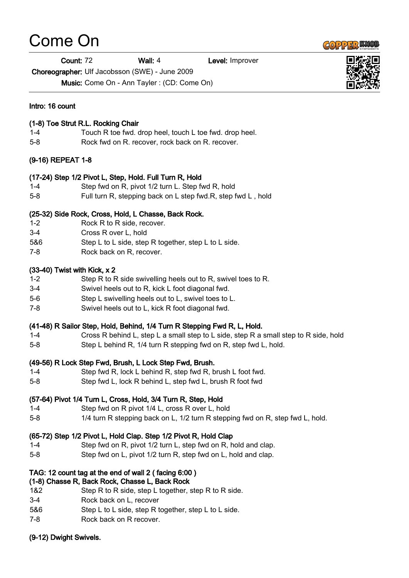# Come On

**Count: 72 Wall: 4** Level: Improver

Choreographer: Ulf Jacobsson (SWE) - June 2009

Music: Come On - Ann Tayler : (CD: Come On)

# Intro: 16 count

### (1-8) Toe Strut R.L. Rocking Chair

- 1-4 Touch R toe fwd. drop heel, touch L toe fwd. drop heel.
- 5-8 Rock fwd on R. recover, rock back on R. recover.

# (9-16) REPEAT 1-8

# (17-24) Step 1/2 Pivot L, Step, Hold. Full Turn R, Hold

- 1-4 Step fwd on R, pivot 1/2 turn L. Step fwd R, hold
- 5-8 Full turn R, stepping back on L step fwd.R, step fwd L , hold

# (25-32) Side Rock, Cross, Hold, L Chasse, Back Rock.

- 1-2 Rock R to R side, recover.
- 3-4 Cross R over L, hold
- 5&6 Step L to L side, step R together, step L to L side.
- 7-8 Rock back on R, recover.

#### (33-40) Twist with Kick, x 2

- 1-2 Step R to R side swivelling heels out to R, swivel toes to R.
- 3-4 Swivel heels out to R, kick L foot diagonal fwd.
- 5-6 Step L swivelling heels out to L, swivel toes to L.
- 7-8 Swivel heels out to L, kick R foot diagonal fwd.

#### (41-48) R Sailor Step, Hold, Behind, 1/4 Turn R Stepping Fwd R, L, Hold.

- 1-4 Cross R behind L, step L a small step to L side, step R a small step to R side, hold
- 5-8 Step L behind R, 1/4 turn R stepping fwd on R, step fwd L, hold.

# (49-56) R Lock Step Fwd, Brush, L Lock Step Fwd, Brush.

- 1-4 Step fwd R, lock L behind R, step fwd R, brush L foot fwd.
- 5-8 Step fwd L, lock R behind L, step fwd L, brush R foot fwd

# (57-64) Pivot 1/4 Turn L, Cross, Hold, 3/4 Turn R, Step, Hold

- 1-4 Step fwd on R pivot 1/4 L, cross R over L, hold
- 5-8 1/4 turn R stepping back on L, 1/2 turn R stepping fwd on R, step fwd L, hold.

# (65-72) Step 1/2 Pivot L, Hold Clap. Step 1/2 Pivot R, Hold Clap

- 1-4 Step fwd on R, pivot 1/2 turn L, step fwd on R, hold and clap.
- 5-8 Step fwd on L, pivot 1/2 turn R, step fwd on L, hold and clap.

# TAG: 12 count tag at the end of wall 2 ( facing 6:00 )

# (1-8) Chasse R, Back Rock, Chasse L, Back Rock

- 1&2 Step R to R side, step L together, step R to R side.
- 3-4 Rock back on L, recover
- 5&6 Step L to L side, step R together, step L to L side.
- 7-8 Rock back on R recover.

# (9-12) Dwight Swivels.